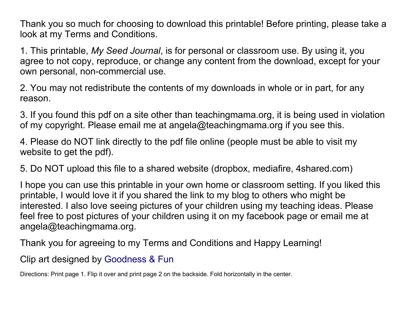Thank you so much for choosing to download this printable! Before printing, please take a look at my Terms and Conditions.

1. This printable, *My Seed Journal*, is for personal or classroom use. By using it, you agree to not copy, reproduce, or change any content from the download, except for your own personal, non-commercial use.

2. You may not redistribute the contents of my downloads in whole or in part, for any reason.

3. If you found this pdf on a site other than teachingmama.org, it is being used in violation of my copyright. Please email me at angela@teachingmama.org if you see this.

4. Please do NOT link directly to the pdf file online (people must be able to visit my website to get the pdf).

5. Do NOT upload this file to a shared website (dropbox, mediafire, 4shared.com)

I hope you can use this printable in your own home or classroom setting. If you liked this printable, I would love it if you shared the link to my blog to others who might be interested. I also love seeing pictures of your children using my teaching ideas. Please feel free to post pictures of your children using it on my facebook page or email me at angela@teachingmama.org.

Thank you for agreeing to my Terms and Conditions and Happy Learning!

Clip art designed by [Goodness & Fun](https://www.etsy.com/shop/goodnessandfun)

Directions: Print page 1. Flip it over and print page 2 on the backside. Fold horizontally in the center.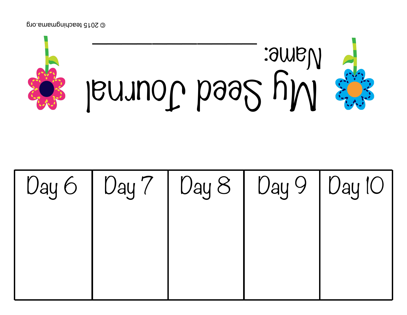@ 2015 teachingmama.org



|  | Day 6   Day 7   Day 8   Day 9   Day 10 |  |
|--|----------------------------------------|--|
|  |                                        |  |
|  |                                        |  |
|  |                                        |  |